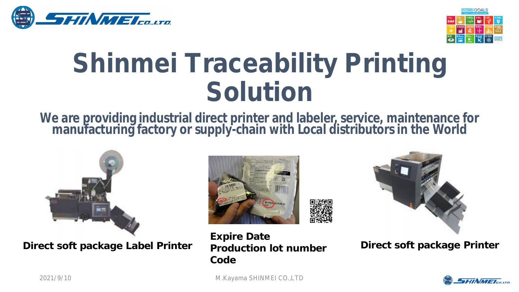



## **Shinmei Traceability Printing Solution**

## **We are providing industrial direct printer and labeler, service, maintenance for manufacturing factory or supply-chain with Local distributors in the World**



**Direct soft package Label Printer production lot number Direct soft package Printer** 





**Expire Date Production lot number Code**



2021/9/10 M.Kayama SHINMEI CO.,LTD 1

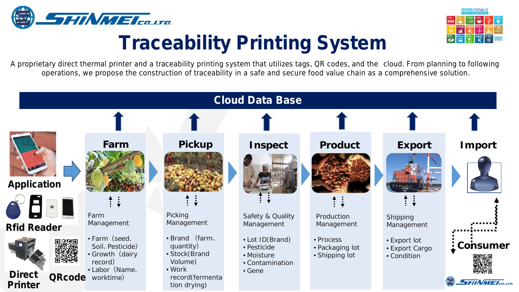



## **Traceability Printing System**

A proprietary direct thermal printer and a traceability printing system that utilizes tags, QR codes, and the cloud. From planning to following operations, we propose the construction of traceability in a safe and secure food value chain as a comprehensive solution.